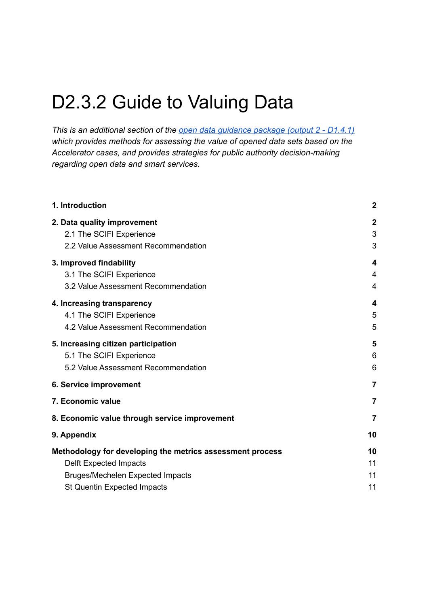# D2.3.2 Guide to Valuing Data

*This is an additional section of the open data [guidance](https://drive.google.com/drive/u/0/folders/1sd4A1QmHdk2yZANEygmfR9cPpzrvj14J) package (output 2 - D1.4.1) which provides methods for assessing the value of opened data sets based on the Accelerator cases, and provides strategies for public authority decision-making regarding open data and smart services.*

| 1. Introduction                                           | $\boldsymbol{2}$ |  |
|-----------------------------------------------------------|------------------|--|
| 2. Data quality improvement                               | $\mathbf{2}$     |  |
| 2.1 The SCIFI Experience                                  | 3                |  |
| 2.2 Value Assessment Recommendation                       | 3                |  |
| 3. Improved findability                                   | 4                |  |
| 3.1 The SCIFI Experience                                  | 4                |  |
| 3.2 Value Assessment Recommendation                       | 4                |  |
| 4. Increasing transparency                                | 4                |  |
| 4.1 The SCIFI Experience                                  | 5                |  |
| 4.2 Value Assessment Recommendation                       | 5                |  |
| 5. Increasing citizen participation                       | 5                |  |
| 5.1 The SCIFI Experience                                  | 6                |  |
| 5.2 Value Assessment Recommendation                       | 6                |  |
| 6. Service improvement                                    | $\overline{7}$   |  |
| 7. Economic value                                         | 7                |  |
| 8. Economic value through service improvement             | 7                |  |
| 9. Appendix                                               | 10               |  |
| Methodology for developing the metrics assessment process | 10               |  |
| <b>Delft Expected Impacts</b>                             | 11               |  |
| <b>Bruges/Mechelen Expected Impacts</b>                   | 11               |  |
| <b>St Quentin Expected Impacts</b>                        | 11               |  |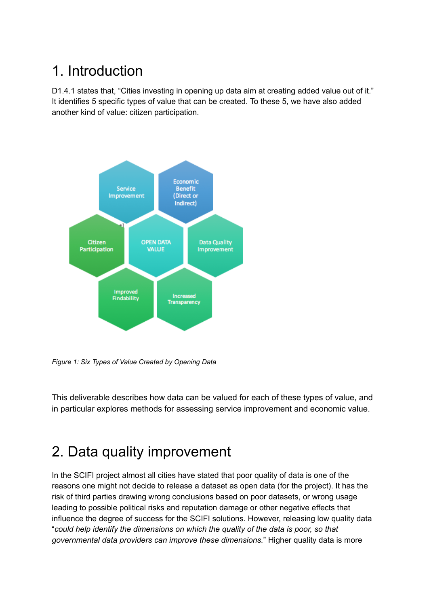### <span id="page-1-0"></span>1. Introduction

D1.4.1 states that, "Cities investing in opening up data aim at creating added value out of it." It identifies 5 specific types of value that can be created. To these 5, we have also added another kind of value: citizen participation.



*Figure 1: Six Types of Value Created by Opening Data*

This deliverable describes how data can be valued for each of these types of value, and in particular explores methods for assessing service improvement and economic value.

### <span id="page-1-1"></span>2. Data quality improvement

In the SCIFI project almost all cities have stated that poor quality of data is one of the reasons one might not decide to release a dataset as open data (for the project). It has the risk of third parties drawing wrong conclusions based on poor datasets, or wrong usage leading to possible political risks and reputation damage or other negative effects that influence the degree of success for the SCIFI solutions. However, releasing low quality data "*could help identify the dimensions on which the quality of the data is poor, so that governmental data providers can improve these dimensions.*" Higher quality data is more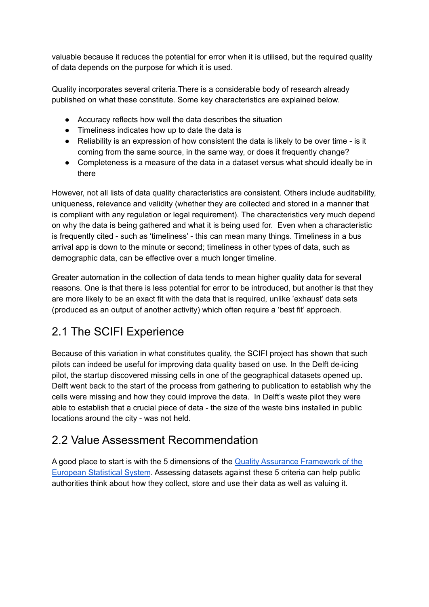valuable because it reduces the potential for error when it is utilised, but the required quality of data depends on the purpose for which it is used.

Quality incorporates several criteria.There is a considerable body of research already published on what these constitute. Some key characteristics are explained below.

- Accuracy reflects how well the data describes the situation
- Timeliness indicates how up to date the data is
- Reliability is an expression of how consistent the data is likely to be over time is it coming from the same source, in the same way, or does it frequently change?
- Completeness is a measure of the data in a dataset versus what should ideally be in there

However, not all lists of data quality characteristics are consistent. Others include auditability, uniqueness, relevance and validity (whether they are collected and stored in a manner that is compliant with any regulation or legal requirement). The characteristics very much depend on why the data is being gathered and what it is being used for. Even when a characteristic is frequently cited - such as 'timeliness' - this can mean many things. Timeliness in a bus arrival app is down to the minute or second; timeliness in other types of data, such as demographic data, can be effective over a much longer timeline.

Greater automation in the collection of data tends to mean higher quality data for several reasons. One is that there is less potential for error to be introduced, but another is that they are more likely to be an exact fit with the data that is required, unlike 'exhaust' data sets (produced as an output of another activity) which often require a 'best fit' approach.

#### <span id="page-2-0"></span>2.1 The SCIFI Experience

Because of this variation in what constitutes quality, the SCIFI project has shown that such pilots can indeed be useful for improving data quality based on use. In the Delft de-icing pilot, the startup discovered missing cells in one of the geographical datasets opened up. Delft went back to the start of the process from gathering to publication to establish why the cells were missing and how they could improve the data. In Delft's waste pilot they were able to establish that a crucial piece of data - the size of the waste bins installed in public locations around the city - was not held.

#### <span id="page-2-1"></span>2.2 Value Assessment Recommendation

A good place to start is with the 5 dimensions of the Quality Assurance [Framework](https://ec.europa.eu/eurostat/documents/64157/4392716/ESS-QAF-V1-2final.pdf/bbf5970c-1adf-46c8-afc3-58ce177a0646) of the [European](https://ec.europa.eu/eurostat/documents/64157/4392716/ESS-QAF-V1-2final.pdf/bbf5970c-1adf-46c8-afc3-58ce177a0646) Statistical System. Assessing datasets against these 5 criteria can help public authorities think about how they collect, store and use their data as well as valuing it.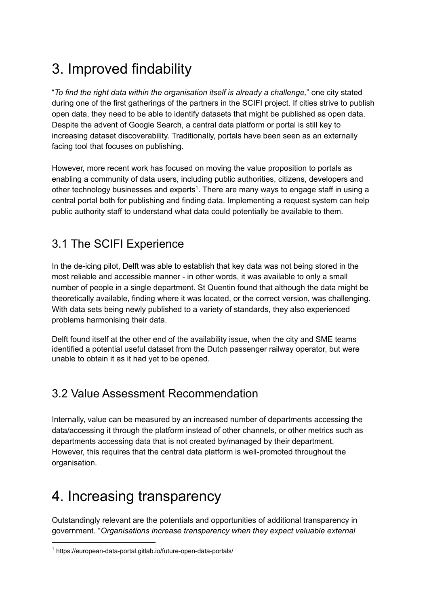### <span id="page-3-0"></span>3. Improved findability

"*To find the right data within the organisation itself is already a challenge,*" one city stated during one of the first gatherings of the partners in the SCIFI project. If cities strive to publish open data, they need to be able to identify datasets that might be published as open data. Despite the advent of Google Search, a central data platform or portal is still key to increasing dataset discoverability. Traditionally, portals have been seen as an externally facing tool that focuses on publishing.

However, more recent work has focused on moving the value proposition to portals as enabling a community of data users, including public authorities, citizens, developers and other technology businesses and experts<sup>1</sup>. There are many ways to engage staff in using a central portal both for publishing and finding data. Implementing a request system can help public authority staff to understand what data could potentially be available to them.

#### <span id="page-3-1"></span>3.1 The SCIFI Experience

In the de-icing pilot, Delft was able to establish that key data was not being stored in the most reliable and accessible manner - in other words, it was available to only a small number of people in a single department. St Quentin found that although the data might be theoretically available, finding where it was located, or the correct version, was challenging. With data sets being newly published to a variety of standards, they also experienced problems harmonising their data.

Delft found itself at the other end of the availability issue, when the city and SME teams identified a potential useful dataset from the Dutch passenger railway operator, but were unable to obtain it as it had yet to be opened.

#### <span id="page-3-2"></span>3.2 Value Assessment Recommendation

Internally, value can be measured by an increased number of departments accessing the data/accessing it through the platform instead of other channels, or other metrics such as departments accessing data that is not created by/managed by their department. However, this requires that the central data platform is well-promoted throughout the organisation.

### <span id="page-3-3"></span>4. Increasing transparency

Outstandingly relevant are the potentials and opportunities of additional transparency in government. "*Organisations increase transparency when they expect valuable external*

<sup>1</sup> https://european-data-portal.gitlab.io/future-open-data-portals/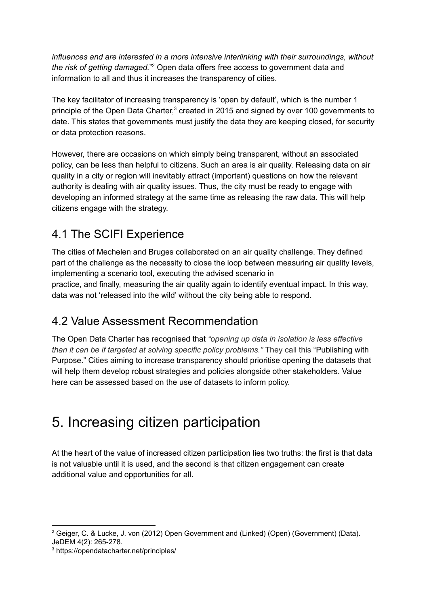*influences and are interested in a more intensive interlinking with their surroundings, without the risk of getting damaged.*" Open data offers free access to government data and 2 information to all and thus it increases the transparency of cities.

The key facilitator of increasing transparency is 'open by default', which is the number 1 principle of the Open Data Charter, $3$  created in 2015 and signed by over 100 governments to date. This states that governments must justify the data they are keeping closed, for security or data protection reasons.

However, there are occasions on which simply being transparent, without an associated policy, can be less than helpful to citizens. Such an area is air quality. Releasing data on air quality in a city or region will inevitably attract (important) questions on how the relevant authority is dealing with air quality issues. Thus, the city must be ready to engage with developing an informed strategy at the same time as releasing the raw data. This will help citizens engage with the strategy.

#### <span id="page-4-0"></span>4.1 The SCIFI Experience

The cities of Mechelen and Bruges collaborated on an air quality challenge. They defined part of the challenge as the necessity to close the loop between measuring air quality levels, implementing a scenario tool, executing the advised scenario in practice, and finally, measuring the air quality again to identify eventual impact. In this way, data was not 'released into the wild' without the city being able to respond.

#### <span id="page-4-1"></span>4.2 Value Assessment Recommendation

The Open Data Charter has recognised that *"opening up data in isolation is less effective than it can be if targeted at solving specific policy problems."* They call this "Publishing with Purpose." Cities aiming to increase transparency should prioritise opening the datasets that will help them develop robust strategies and policies alongside other stakeholders. Value here can be assessed based on the use of datasets to inform policy.

### <span id="page-4-2"></span>5. Increasing citizen participation

At the heart of the value of increased citizen participation lies two truths: the first is that data is not valuable until it is used, and the second is that citizen engagement can create additional value and opportunities for all.

<sup>&</sup>lt;sup>2</sup> Geiger, C. & Lucke, J. von (2012) Open Government and (Linked) (Open) (Government) (Data). JeDEM 4(2): 265-278.

<sup>3</sup> https://opendatacharter.net/principles/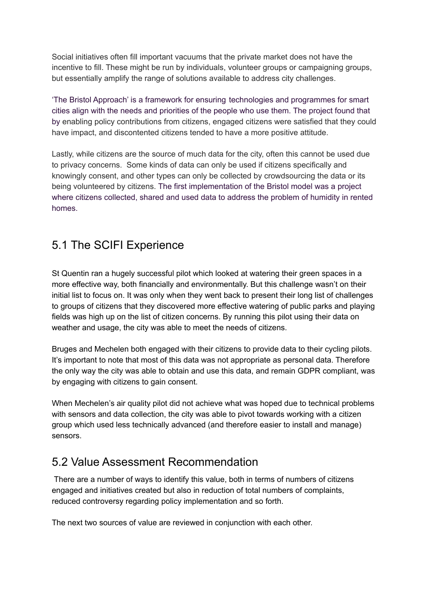Social initiatives often fill important vacuums that the private market does not have the incentive to fill. These might be run by individuals, volunteer groups or campaigning groups, but essentially amplify the range of solutions available to address city challenges.

'The Bristol Approach' is a framework for ensuring technologies and programmes for smart cities align with the needs and priorities of the people who use them. The project found that by enabling policy contributions from citizens, engaged citizens were satisfied that they could have impact, and discontented citizens tended to have a more positive attitude.

Lastly, while citizens are the source of much data for the city, often this cannot be used due to privacy concerns. Some kinds of data can only be used if citizens specifically and knowingly consent, and other types can only be collected by crowdsourcing the data or its being volunteered by citizens. The first implementation of the Bristol model was a project where citizens collected, shared and used data to address the problem of humidity in rented homes.

#### <span id="page-5-0"></span>5.1 The SCIFI Experience

St Quentin ran a hugely successful pilot which looked at watering their green spaces in a more effective way, both financially and environmentally. But this challenge wasn't on their initial list to focus on. It was only when they went back to present their long list of challenges to groups of citizens that they discovered more effective watering of public parks and playing fields was high up on the list of citizen concerns. By running this pilot using their data on weather and usage, the city was able to meet the needs of citizens.

Bruges and Mechelen both engaged with their citizens to provide data to their cycling pilots. It's important to note that most of this data was not appropriate as personal data. Therefore the only way the city was able to obtain and use this data, and remain GDPR compliant, was by engaging with citizens to gain consent.

When Mechelen's air quality pilot did not achieve what was hoped due to technical problems with sensors and data collection, the city was able to pivot towards working with a citizen group which used less technically advanced (and therefore easier to install and manage) sensors.

#### <span id="page-5-1"></span>5.2 Value Assessment Recommendation

There are a number of ways to identify this value, both in terms of numbers of citizens engaged and initiatives created but also in reduction of total numbers of complaints, reduced controversy regarding policy implementation and so forth.

The next two sources of value are reviewed in conjunction with each other.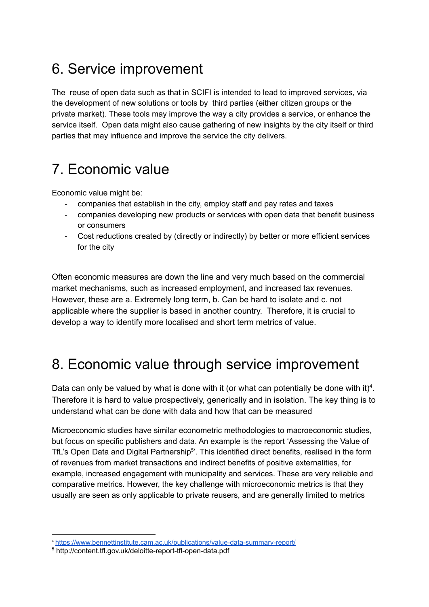### <span id="page-6-0"></span>6. Service improvement

The reuse of open data such as that in SCIFI is intended to lead to improved services, via the development of new solutions or tools by third parties (either citizen groups or the private market). These tools may improve the way a city provides a service, or enhance the service itself. Open data might also cause gathering of new insights by the city itself or third parties that may influence and improve the service the city delivers.

### <span id="page-6-1"></span>7. Economic value

Economic value might be:

- companies that establish in the city, employ staff and pay rates and taxes
- companies developing new products or services with open data that benefit business or consumers
- Cost reductions created by (directly or indirectly) by better or more efficient services for the city

Often economic measures are down the line and very much based on the commercial market mechanisms, such as increased employment, and increased tax revenues. However, these are a. Extremely long term, b. Can be hard to isolate and c. not applicable where the supplier is based in another country. Therefore, it is crucial to develop a way to identify more localised and short term metrics of value.

### <span id="page-6-2"></span>8. Economic value through service improvement

Data can only be valued by what is done with it (or what can potentially be done with it)<sup>4</sup>. Therefore it is hard to value prospectively, generically and in isolation. The key thing is to understand what can be done with data and how that can be measured

Microeconomic studies have similar econometric methodologies to macroeconomic studies, but focus on specific publishers and data. An example is the report 'Assessing the Value of TfL's Open Data and Digital Partnership<sup>5</sup>'. This identified direct benefits, realised in the form of revenues from market transactions and indirect benefits of positive externalities, for example, increased engagement with municipality and services. These are very reliable and comparative metrics. However, the key challenge with microeconomic metrics is that they usually are seen as only applicable to private reusers, and are generally limited to metrics

<sup>4</sup> <https://www.bennettinstitute.cam.ac.uk/publications/value-data-summary-report/>

<sup>5</sup> http://content.tfl.gov.uk/deloitte-report-tfl-open-data.pdf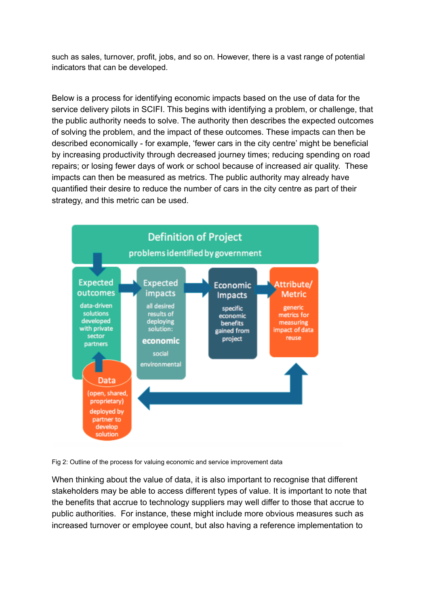such as sales, turnover, profit, jobs, and so on. However, there is a vast range of potential indicators that can be developed.

Below is a process for identifying economic impacts based on the use of data for the service delivery pilots in SCIFI. This begins with identifying a problem, or challenge, that the public authority needs to solve. The authority then describes the expected outcomes of solving the problem, and the impact of these outcomes. These impacts can then be described economically - for example, 'fewer cars in the city centre' might be beneficial by increasing productivity through decreased journey times; reducing spending on road repairs; or losing fewer days of work or school because of increased air quality. These impacts can then be measured as metrics. The public authority may already have quantified their desire to reduce the number of cars in the city centre as part of their strategy, and this metric can be used.



Fig 2: Outline of the process for valuing economic and service improvement data

When thinking about the value of data, it is also important to recognise that different stakeholders may be able to access different types of value. It is important to note that the benefits that accrue to technology suppliers may well differ to those that accrue to public authorities. For instance, these might include more obvious measures such as increased turnover or employee count, but also having a reference implementation to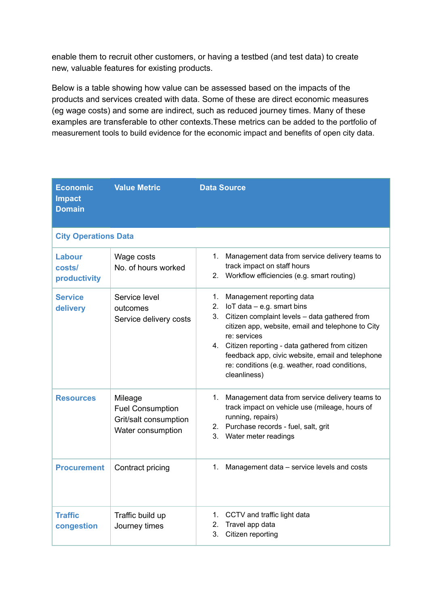enable them to recruit other customers, or having a testbed (and test data) to create new, valuable features for existing products.

Below is a table showing how value can be assessed based on the impacts of the products and services created with data. Some of these are direct economic measures (eg wage costs) and some are indirect, such as reduced journey times. Many of these examples are transferable to other contexts.These metrics can be added to the portfolio of measurement tools to build evidence for the economic impact and benefits of open city data.

| <b>Economic</b><br><b>Impact</b><br><b>Domain</b> | <b>Value Metric</b>                                                              | <b>Data Source</b>                                                                                                                                                                                                                                                                                                                                                                 |  |  |
|---------------------------------------------------|----------------------------------------------------------------------------------|------------------------------------------------------------------------------------------------------------------------------------------------------------------------------------------------------------------------------------------------------------------------------------------------------------------------------------------------------------------------------------|--|--|
| <b>City Operations Data</b>                       |                                                                                  |                                                                                                                                                                                                                                                                                                                                                                                    |  |  |
| Labour<br>costs/<br>productivity                  | Wage costs<br>No. of hours worked                                                | 1.<br>Management data from service delivery teams to<br>track impact on staff hours<br>Workflow efficiencies (e.g. smart routing)<br>2.                                                                                                                                                                                                                                            |  |  |
| <b>Service</b><br>delivery                        | Service level<br>outcomes<br>Service delivery costs                              | Management reporting data<br>1.<br>2.<br>$I$ o $T$ data $-$ e.g. smart bins<br>3.<br>Citizen complaint levels - data gathered from<br>citizen app, website, email and telephone to City<br>re: services<br>4. Citizen reporting - data gathered from citizen<br>feedback app, civic website, email and telephone<br>re: conditions (e.g. weather, road conditions,<br>cleanliness) |  |  |
| <b>Resources</b>                                  | Mileage<br><b>Fuel Consumption</b><br>Grit/salt consumption<br>Water consumption | 1.<br>Management data from service delivery teams to<br>track impact on vehicle use (mileage, hours of<br>running, repairs)<br>2. Purchase records - fuel, salt, grit<br>3.<br>Water meter readings                                                                                                                                                                                |  |  |
| <b>Procurement</b>                                | Contract pricing                                                                 | 1.<br>Management data - service levels and costs                                                                                                                                                                                                                                                                                                                                   |  |  |
| <b>Traffic</b><br>congestion                      | Traffic build up<br>Journey times                                                | 1. CCTV and traffic light data<br>Travel app data<br>2.<br>3.<br>Citizen reporting                                                                                                                                                                                                                                                                                                 |  |  |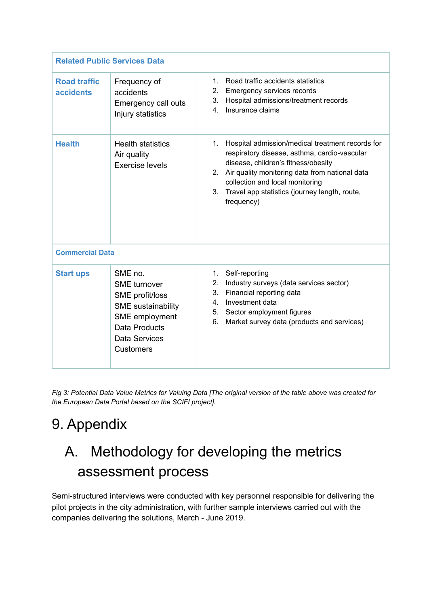| <b>Related Public Services Data</b>     |                                                                                                                                                               |                                                                                                                                                                                                                                                                                                            |  |  |
|-----------------------------------------|---------------------------------------------------------------------------------------------------------------------------------------------------------------|------------------------------------------------------------------------------------------------------------------------------------------------------------------------------------------------------------------------------------------------------------------------------------------------------------|--|--|
| <b>Road traffic</b><br><b>accidents</b> | Frequency of<br>accidents<br>Emergency call outs<br>Injury statistics                                                                                         | Road traffic accidents statistics<br>1.<br>2.<br><b>Emergency services records</b><br>3.<br>Hospital admissions/treatment records<br>Insurance claims<br>4.                                                                                                                                                |  |  |
| <b>Health</b>                           | <b>Health statistics</b><br>Air quality<br><b>Exercise levels</b>                                                                                             | Hospital admission/medical treatment records for<br>1.<br>respiratory disease, asthma, cardio-vascular<br>disease, children's fitness/obesity<br>2. Air quality monitoring data from national data<br>collection and local monitoring<br>3.<br>Travel app statistics (journey length, route,<br>frequency) |  |  |
| <b>Commercial Data</b>                  |                                                                                                                                                               |                                                                                                                                                                                                                                                                                                            |  |  |
| <b>Start ups</b>                        | SME no.<br><b>SME</b> turnover<br>SME profit/loss<br><b>SME</b> sustainability<br>SME employment<br><b>Data Products</b><br>Data Services<br><b>Customers</b> | Self-reporting<br>1 <sub>1</sub><br>Industry surveys (data services sector)<br>2.<br>Financial reporting data<br>3.<br>4. Investment data<br>Sector employment figures<br>5.<br>6.<br>Market survey data (products and services)                                                                           |  |  |

Fig 3: Potential Data Value Metrics for Valuing Data [The original version of the table above was created for *the European Data Portal based on the SCIFI project].*

## <span id="page-9-0"></span>9. Appendix

# <span id="page-9-1"></span>A. Methodology for developing the metrics assessment process

Semi-structured interviews were conducted with key personnel responsible for delivering the pilot projects in the city administration, with further sample interviews carried out with the companies delivering the solutions, March - June 2019.